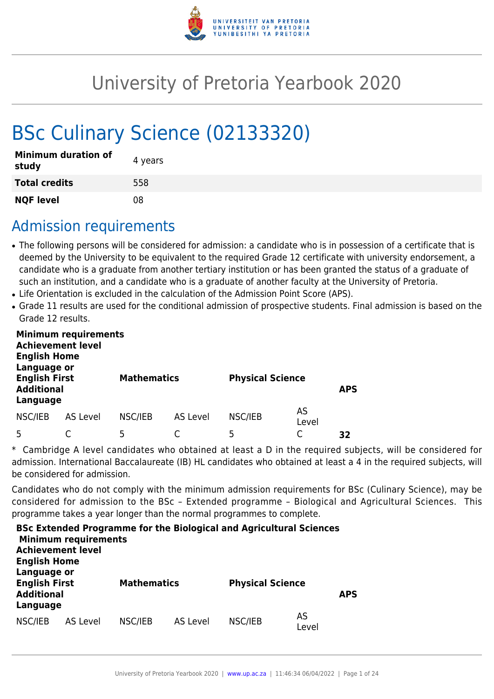

# University of Pretoria Yearbook 2020

# BSc Culinary Science (02133320)

| <b>Minimum duration of</b><br>study | 4 years |
|-------------------------------------|---------|
| <b>Total credits</b>                | 558     |
| <b>NQF level</b>                    | 08      |

### Admission requirements

- The following persons will be considered for admission: a candidate who is in possession of a certificate that is deemed by the University to be equivalent to the required Grade 12 certificate with university endorsement, a candidate who is a graduate from another tertiary institution or has been granted the status of a graduate of such an institution, and a candidate who is a graduate of another faculty at the University of Pretoria.
- Life Orientation is excluded in the calculation of the Admission Point Score (APS).
- Grade 11 results are used for the conditional admission of prospective students. Final admission is based on the Grade 12 results.

| <b>Achievement level</b><br><b>English Home</b><br>Language or | <b>Minimum requirements</b> |                    |          |                         |             |            |
|----------------------------------------------------------------|-----------------------------|--------------------|----------|-------------------------|-------------|------------|
| <b>English First</b><br><b>Additional</b><br>Language          |                             | <b>Mathematics</b> |          | <b>Physical Science</b> |             | <b>APS</b> |
| NSC/IEB                                                        | AS Level                    | NSC/IEB            | AS Level | NSC/IEB                 | AS<br>Level |            |
|                                                                |                             | 5                  |          | 5                       |             | 32         |

\* Cambridge A level candidates who obtained at least a D in the required subjects, will be considered for admission. International Baccalaureate (IB) HL candidates who obtained at least a 4 in the required subjects, will be considered for admission.

Candidates who do not comply with the minimum admission requirements for BSc (Culinary Science), may be considered for admission to the BSc – Extended programme – Biological and Agricultural Sciences. This programme takes a year longer than the normal programmes to complete.

| <b>English Home</b>                                                  | <b>Minimum requirements</b><br><b>Achievement level</b> |                    |          | <b>BSc Extended Programme for the Biological and Agricultural Sciences</b> |             |            |
|----------------------------------------------------------------------|---------------------------------------------------------|--------------------|----------|----------------------------------------------------------------------------|-------------|------------|
| Language or<br><b>English First</b><br><b>Additional</b><br>Language |                                                         | <b>Mathematics</b> |          | <b>Physical Science</b>                                                    |             | <b>APS</b> |
| NSC/IEB                                                              | AS Level                                                | NSC/IEB            | AS Level | NSC/IEB                                                                    | AS<br>Level |            |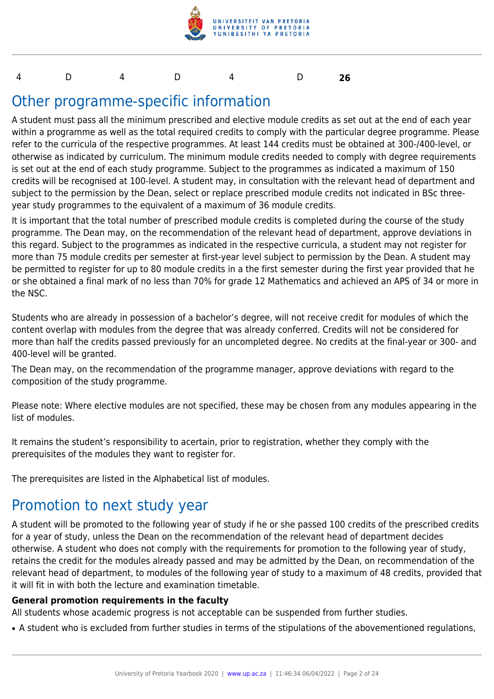

#### 4 D 4 D 4 D **26**

### Other programme-specific information

A student must pass all the minimum prescribed and elective module credits as set out at the end of each year within a programme as well as the total required credits to comply with the particular degree programme. Please refer to the curricula of the respective programmes. At least 144 credits must be obtained at 300-/400-level, or otherwise as indicated by curriculum. The minimum module credits needed to comply with degree requirements is set out at the end of each study programme. Subject to the programmes as indicated a maximum of 150 credits will be recognised at 100-level. A student may, in consultation with the relevant head of department and subject to the permission by the Dean, select or replace prescribed module credits not indicated in BSc threeyear study programmes to the equivalent of a maximum of 36 module credits.

It is important that the total number of prescribed module credits is completed during the course of the study programme. The Dean may, on the recommendation of the relevant head of department, approve deviations in this regard. Subject to the programmes as indicated in the respective curricula, a student may not register for more than 75 module credits per semester at first-year level subject to permission by the Dean. A student may be permitted to register for up to 80 module credits in a the first semester during the first year provided that he or she obtained a final mark of no less than 70% for grade 12 Mathematics and achieved an APS of 34 or more in the NSC.

Students who are already in possession of a bachelor's degree, will not receive credit for modules of which the content overlap with modules from the degree that was already conferred. Credits will not be considered for more than half the credits passed previously for an uncompleted degree. No credits at the final-year or 300- and 400-level will be granted.

The Dean may, on the recommendation of the programme manager, approve deviations with regard to the composition of the study programme.

Please note: Where elective modules are not specified, these may be chosen from any modules appearing in the list of modules.

It remains the student's responsibility to acertain, prior to registration, whether they comply with the prerequisites of the modules they want to register for.

The prerequisites are listed in the Alphabetical list of modules.

### Promotion to next study year

A student will be promoted to the following year of study if he or she passed 100 credits of the prescribed credits for a year of study, unless the Dean on the recommendation of the relevant head of department decides otherwise. A student who does not comply with the requirements for promotion to the following year of study, retains the credit for the modules already passed and may be admitted by the Dean, on recommendation of the relevant head of department, to modules of the following year of study to a maximum of 48 credits, provided that it will fit in with both the lecture and examination timetable.

#### **General promotion requirements in the faculty**

All students whose academic progress is not acceptable can be suspended from further studies.

• A student who is excluded from further studies in terms of the stipulations of the abovementioned regulations,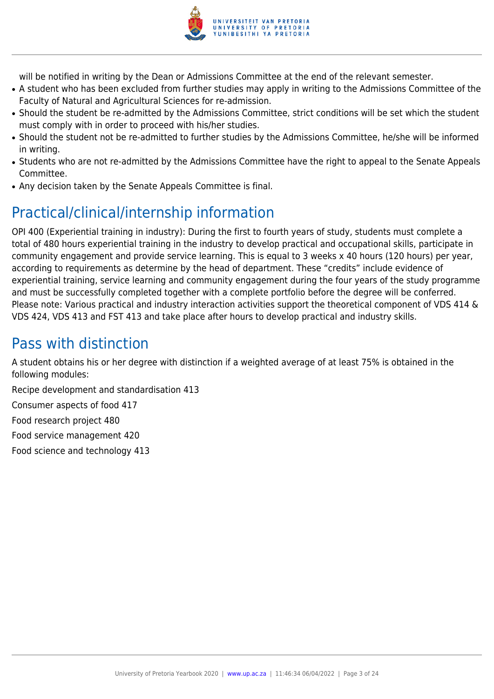

will be notified in writing by the Dean or Admissions Committee at the end of the relevant semester.

- A student who has been excluded from further studies may apply in writing to the Admissions Committee of the Faculty of Natural and Agricultural Sciences for re-admission.
- Should the student be re-admitted by the Admissions Committee, strict conditions will be set which the student must comply with in order to proceed with his/her studies.
- Should the student not be re-admitted to further studies by the Admissions Committee, he/she will be informed in writing.
- Students who are not re-admitted by the Admissions Committee have the right to appeal to the Senate Appeals Committee.
- Any decision taken by the Senate Appeals Committee is final.

## Practical/clinical/internship information

OPI 400 (Experiential training in industry): During the first to fourth years of study, students must complete a total of 480 hours experiential training in the industry to develop practical and occupational skills, participate in community engagement and provide service learning. This is equal to 3 weeks x 40 hours (120 hours) per year, according to requirements as determine by the head of department. These "credits" include evidence of experiential training, service learning and community engagement during the four years of the study programme and must be successfully completed together with a complete portfolio before the degree will be conferred. Please note: Various practical and industry interaction activities support the theoretical component of VDS 414 & VDS 424, VDS 413 and FST 413 and take place after hours to develop practical and industry skills.

### Pass with distinction

A student obtains his or her degree with distinction if a weighted average of at least 75% is obtained in the following modules:

Recipe development and standardisation 413

Consumer aspects of food 417

Food research project 480

Food service management 420

Food science and technology 413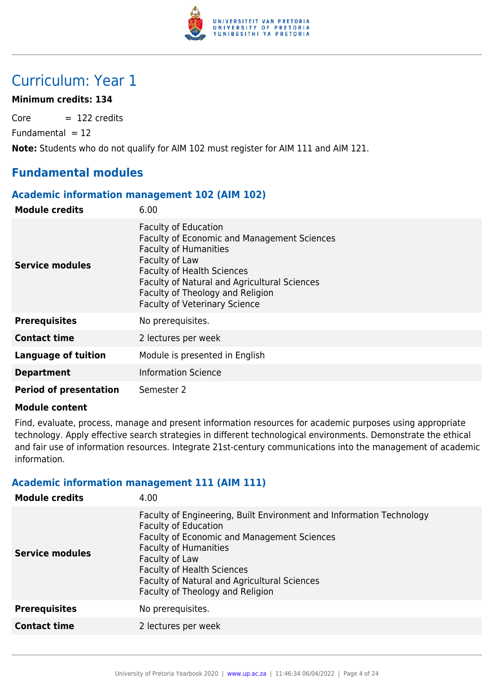

### Curriculum: Year 1

#### **Minimum credits: 134**

 $Core = 122$  credits

 $Fundamental = 12$ 

**Note:** Students who do not qualify for AIM 102 must register for AIM 111 and AIM 121.

#### **Fundamental modules**

#### **Academic information management 102 (AIM 102)**

| <b>Module credits</b>         | 6.00                                                                                                                                                                                                                                                                                                        |
|-------------------------------|-------------------------------------------------------------------------------------------------------------------------------------------------------------------------------------------------------------------------------------------------------------------------------------------------------------|
| <b>Service modules</b>        | <b>Faculty of Education</b><br><b>Faculty of Economic and Management Sciences</b><br><b>Faculty of Humanities</b><br>Faculty of Law<br><b>Faculty of Health Sciences</b><br><b>Faculty of Natural and Agricultural Sciences</b><br>Faculty of Theology and Religion<br><b>Faculty of Veterinary Science</b> |
| <b>Prerequisites</b>          | No prerequisites.                                                                                                                                                                                                                                                                                           |
| <b>Contact time</b>           | 2 lectures per week                                                                                                                                                                                                                                                                                         |
| <b>Language of tuition</b>    | Module is presented in English                                                                                                                                                                                                                                                                              |
| <b>Department</b>             | <b>Information Science</b>                                                                                                                                                                                                                                                                                  |
| <b>Period of presentation</b> | Semester 2                                                                                                                                                                                                                                                                                                  |

#### **Module content**

Find, evaluate, process, manage and present information resources for academic purposes using appropriate technology. Apply effective search strategies in different technological environments. Demonstrate the ethical and fair use of information resources. Integrate 21st-century communications into the management of academic information.

#### **Academic information management 111 (AIM 111)**

| <b>Module credits</b>  | 4.00                                                                                                                                                                                                                                                                                                                          |
|------------------------|-------------------------------------------------------------------------------------------------------------------------------------------------------------------------------------------------------------------------------------------------------------------------------------------------------------------------------|
| <b>Service modules</b> | Faculty of Engineering, Built Environment and Information Technology<br><b>Faculty of Education</b><br>Faculty of Economic and Management Sciences<br><b>Faculty of Humanities</b><br>Faculty of Law<br><b>Faculty of Health Sciences</b><br>Faculty of Natural and Agricultural Sciences<br>Faculty of Theology and Religion |
| <b>Prerequisites</b>   | No prerequisites.                                                                                                                                                                                                                                                                                                             |
| <b>Contact time</b>    | 2 lectures per week                                                                                                                                                                                                                                                                                                           |
|                        |                                                                                                                                                                                                                                                                                                                               |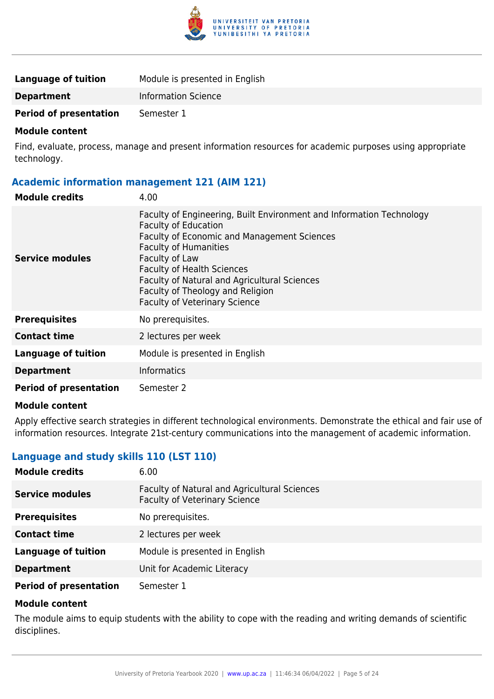

| Language of tuition           | Module is presented in English |
|-------------------------------|--------------------------------|
| <b>Department</b>             | <b>Information Science</b>     |
| <b>Period of presentation</b> | Semester 1                     |

Find, evaluate, process, manage and present information resources for academic purposes using appropriate technology.

#### **Academic information management 121 (AIM 121)**

| <b>Module credits</b>         | 4.00                                                                                                                                                                                                                                                                                                                                                                         |
|-------------------------------|------------------------------------------------------------------------------------------------------------------------------------------------------------------------------------------------------------------------------------------------------------------------------------------------------------------------------------------------------------------------------|
| <b>Service modules</b>        | Faculty of Engineering, Built Environment and Information Technology<br><b>Faculty of Education</b><br><b>Faculty of Economic and Management Sciences</b><br><b>Faculty of Humanities</b><br>Faculty of Law<br><b>Faculty of Health Sciences</b><br>Faculty of Natural and Agricultural Sciences<br>Faculty of Theology and Religion<br><b>Faculty of Veterinary Science</b> |
| <b>Prerequisites</b>          | No prerequisites.                                                                                                                                                                                                                                                                                                                                                            |
| <b>Contact time</b>           | 2 lectures per week                                                                                                                                                                                                                                                                                                                                                          |
| <b>Language of tuition</b>    | Module is presented in English                                                                                                                                                                                                                                                                                                                                               |
| <b>Department</b>             | <b>Informatics</b>                                                                                                                                                                                                                                                                                                                                                           |
| <b>Period of presentation</b> | Semester 2                                                                                                                                                                                                                                                                                                                                                                   |

#### **Module content**

Apply effective search strategies in different technological environments. Demonstrate the ethical and fair use of information resources. Integrate 21st-century communications into the management of academic information.

#### **Language and study skills 110 (LST 110)**

| <b>Module credits</b>         | 6.00                                                                                 |
|-------------------------------|--------------------------------------------------------------------------------------|
| <b>Service modules</b>        | Faculty of Natural and Agricultural Sciences<br><b>Faculty of Veterinary Science</b> |
| <b>Prerequisites</b>          | No prerequisites.                                                                    |
| <b>Contact time</b>           | 2 lectures per week                                                                  |
| <b>Language of tuition</b>    | Module is presented in English                                                       |
| <b>Department</b>             | Unit for Academic Literacy                                                           |
| <b>Period of presentation</b> | Semester 1                                                                           |

#### **Module content**

The module aims to equip students with the ability to cope with the reading and writing demands of scientific disciplines.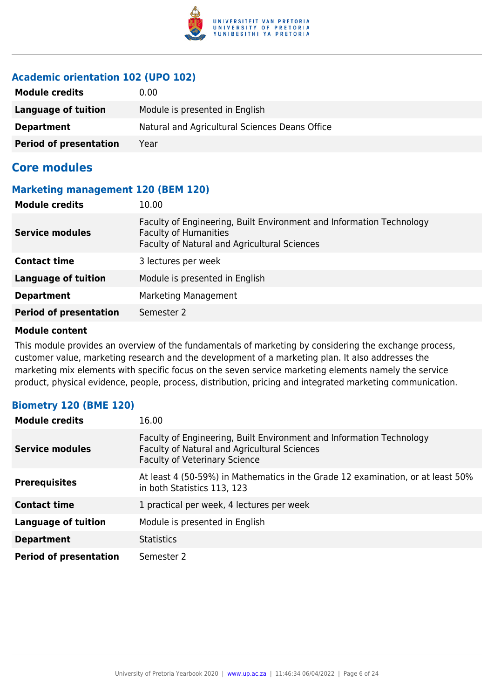

#### **Academic orientation 102 (UPO 102)**

| <b>Module credits</b>         | 0.00                                           |
|-------------------------------|------------------------------------------------|
| Language of tuition           | Module is presented in English                 |
| <b>Department</b>             | Natural and Agricultural Sciences Deans Office |
| <b>Period of presentation</b> | Year                                           |

#### **Core modules**

#### **Marketing management 120 (BEM 120)**

| <b>Module credits</b>         | 10.00                                                                                                                                                |
|-------------------------------|------------------------------------------------------------------------------------------------------------------------------------------------------|
| <b>Service modules</b>        | Faculty of Engineering, Built Environment and Information Technology<br><b>Faculty of Humanities</b><br>Faculty of Natural and Agricultural Sciences |
| <b>Contact time</b>           | 3 lectures per week                                                                                                                                  |
| <b>Language of tuition</b>    | Module is presented in English                                                                                                                       |
| <b>Department</b>             | <b>Marketing Management</b>                                                                                                                          |
| <b>Period of presentation</b> | Semester 2                                                                                                                                           |

#### **Module content**

This module provides an overview of the fundamentals of marketing by considering the exchange process, customer value, marketing research and the development of a marketing plan. It also addresses the marketing mix elements with specific focus on the seven service marketing elements namely the service product, physical evidence, people, process, distribution, pricing and integrated marketing communication.

#### **Biometry 120 (BME 120)**

| <b>Module credits</b>         | 16.00                                                                                                                                                               |
|-------------------------------|---------------------------------------------------------------------------------------------------------------------------------------------------------------------|
| <b>Service modules</b>        | Faculty of Engineering, Built Environment and Information Technology<br><b>Faculty of Natural and Agricultural Sciences</b><br><b>Faculty of Veterinary Science</b> |
| <b>Prerequisites</b>          | At least 4 (50-59%) in Mathematics in the Grade 12 examination, or at least 50%<br>in both Statistics 113, 123                                                      |
| <b>Contact time</b>           | 1 practical per week, 4 lectures per week                                                                                                                           |
| <b>Language of tuition</b>    | Module is presented in English                                                                                                                                      |
| <b>Department</b>             | <b>Statistics</b>                                                                                                                                                   |
| <b>Period of presentation</b> | Semester 2                                                                                                                                                          |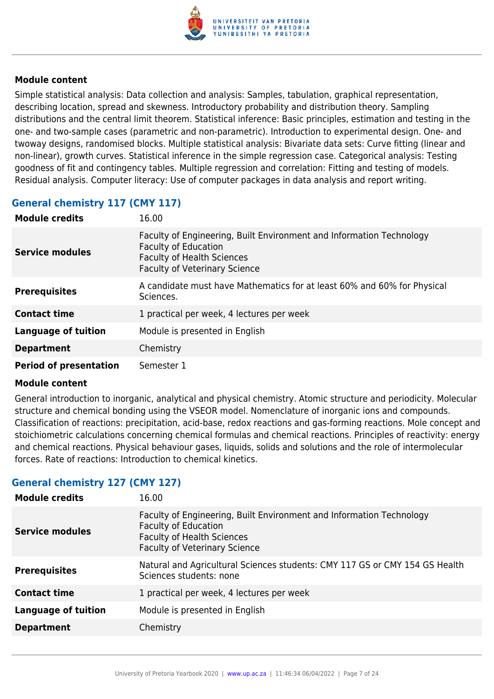

Simple statistical analysis: Data collection and analysis: Samples, tabulation, graphical representation, describing location, spread and skewness. Introductory probability and distribution theory. Sampling distributions and the central limit theorem. Statistical inference: Basic principles, estimation and testing in the one- and two-sample cases (parametric and non-parametric). Introduction to experimental design. One- and twoway designs, randomised blocks. Multiple statistical analysis: Bivariate data sets: Curve fitting (linear and non-linear), growth curves. Statistical inference in the simple regression case. Categorical analysis: Testing goodness of fit and contingency tables. Multiple regression and correlation: Fitting and testing of models. Residual analysis. Computer literacy: Use of computer packages in data analysis and report writing.

#### **General chemistry 117 (CMY 117)**

| <b>Module credits</b>         | 16.00                                                                                                                                                                            |
|-------------------------------|----------------------------------------------------------------------------------------------------------------------------------------------------------------------------------|
| Service modules               | Faculty of Engineering, Built Environment and Information Technology<br><b>Faculty of Education</b><br><b>Faculty of Health Sciences</b><br><b>Faculty of Veterinary Science</b> |
| <b>Prerequisites</b>          | A candidate must have Mathematics for at least 60% and 60% for Physical<br>Sciences.                                                                                             |
| <b>Contact time</b>           | 1 practical per week, 4 lectures per week                                                                                                                                        |
| <b>Language of tuition</b>    | Module is presented in English                                                                                                                                                   |
| <b>Department</b>             | Chemistry                                                                                                                                                                        |
| <b>Period of presentation</b> | Semester 1                                                                                                                                                                       |

#### **Module content**

General introduction to inorganic, analytical and physical chemistry. Atomic structure and periodicity. Molecular structure and chemical bonding using the VSEOR model. Nomenclature of inorganic ions and compounds. Classification of reactions: precipitation, acid-base, redox reactions and gas-forming reactions. Mole concept and stoichiometric calculations concerning chemical formulas and chemical reactions. Principles of reactivity: energy and chemical reactions. Physical behaviour gases, liquids, solids and solutions and the role of intermolecular forces. Rate of reactions: Introduction to chemical kinetics.

#### **General chemistry 127 (CMY 127)**

| <b>Module credits</b>      | 16.00                                                                                                                                                                            |
|----------------------------|----------------------------------------------------------------------------------------------------------------------------------------------------------------------------------|
| <b>Service modules</b>     | Faculty of Engineering, Built Environment and Information Technology<br><b>Faculty of Education</b><br><b>Faculty of Health Sciences</b><br><b>Faculty of Veterinary Science</b> |
| <b>Prerequisites</b>       | Natural and Agricultural Sciences students: CMY 117 GS or CMY 154 GS Health<br>Sciences students: none                                                                           |
| <b>Contact time</b>        | 1 practical per week, 4 lectures per week                                                                                                                                        |
| <b>Language of tuition</b> | Module is presented in English                                                                                                                                                   |
| <b>Department</b>          | Chemistry                                                                                                                                                                        |
|                            |                                                                                                                                                                                  |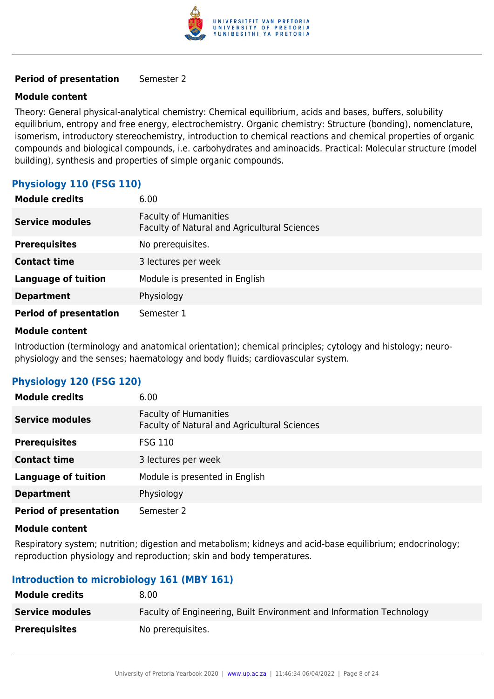

#### **Period of presentation** Semester 2

#### **Module content**

Theory: General physical-analytical chemistry: Chemical equilibrium, acids and bases, buffers, solubility equilibrium, entropy and free energy, electrochemistry. Organic chemistry: Structure (bonding), nomenclature, isomerism, introductory stereochemistry, introduction to chemical reactions and chemical properties of organic compounds and biological compounds, i.e. carbohydrates and aminoacids. Practical: Molecular structure (model building), synthesis and properties of simple organic compounds.

#### **Physiology 110 (FSG 110)**

| <b>Module credits</b>         | 6.00                                                                         |
|-------------------------------|------------------------------------------------------------------------------|
| <b>Service modules</b>        | <b>Faculty of Humanities</b><br>Faculty of Natural and Agricultural Sciences |
| <b>Prerequisites</b>          | No prerequisites.                                                            |
| <b>Contact time</b>           | 3 lectures per week                                                          |
| <b>Language of tuition</b>    | Module is presented in English                                               |
| <b>Department</b>             | Physiology                                                                   |
| <b>Period of presentation</b> | Semester 1                                                                   |

#### **Module content**

Introduction (terminology and anatomical orientation); chemical principles; cytology and histology; neurophysiology and the senses; haematology and body fluids; cardiovascular system.

#### **Physiology 120 (FSG 120)**

| <b>Module credits</b>         | 6.00                                                                         |
|-------------------------------|------------------------------------------------------------------------------|
| <b>Service modules</b>        | <b>Faculty of Humanities</b><br>Faculty of Natural and Agricultural Sciences |
| <b>Prerequisites</b>          | <b>FSG 110</b>                                                               |
| <b>Contact time</b>           | 3 lectures per week                                                          |
| <b>Language of tuition</b>    | Module is presented in English                                               |
| <b>Department</b>             | Physiology                                                                   |
| <b>Period of presentation</b> | Semester 2                                                                   |

#### **Module content**

Respiratory system; nutrition; digestion and metabolism; kidneys and acid-base equilibrium; endocrinology; reproduction physiology and reproduction; skin and body temperatures.

#### **Introduction to microbiology 161 (MBY 161)**

| <b>Module credits</b>  | 8.00                                                                 |
|------------------------|----------------------------------------------------------------------|
| <b>Service modules</b> | Faculty of Engineering, Built Environment and Information Technology |
| <b>Prerequisites</b>   | No prerequisites.                                                    |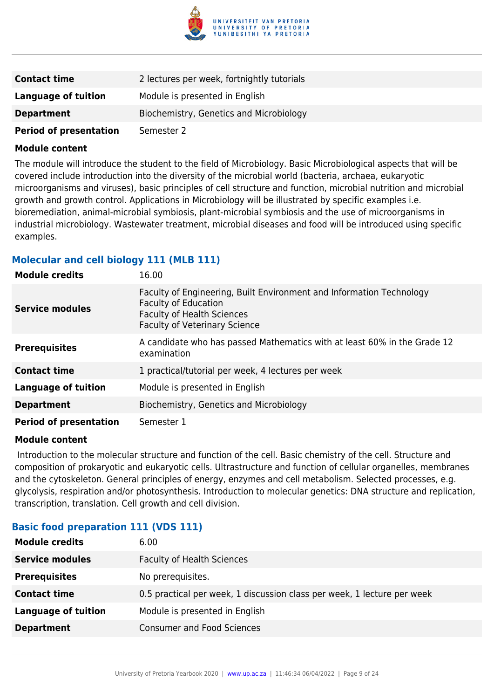

| <b>Contact time</b>           | 2 lectures per week, fortnightly tutorials |
|-------------------------------|--------------------------------------------|
| Language of tuition           | Module is presented in English             |
| <b>Department</b>             | Biochemistry, Genetics and Microbiology    |
| <b>Period of presentation</b> | Semester 2                                 |

The module will introduce the student to the field of Microbiology. Basic Microbiological aspects that will be covered include introduction into the diversity of the microbial world (bacteria, archaea, eukaryotic microorganisms and viruses), basic principles of cell structure and function, microbial nutrition and microbial growth and growth control. Applications in Microbiology will be illustrated by specific examples i.e. bioremediation, animal-microbial symbiosis, plant-microbial symbiosis and the use of microorganisms in industrial microbiology. Wastewater treatment, microbial diseases and food will be introduced using specific examples.

#### **Molecular and cell biology 111 (MLB 111)**

| <b>Module credits</b>         | 16.00                                                                                                                                                                            |
|-------------------------------|----------------------------------------------------------------------------------------------------------------------------------------------------------------------------------|
| <b>Service modules</b>        | Faculty of Engineering, Built Environment and Information Technology<br><b>Faculty of Education</b><br><b>Faculty of Health Sciences</b><br><b>Faculty of Veterinary Science</b> |
| <b>Prerequisites</b>          | A candidate who has passed Mathematics with at least 60% in the Grade 12<br>examination                                                                                          |
| <b>Contact time</b>           | 1 practical/tutorial per week, 4 lectures per week                                                                                                                               |
| <b>Language of tuition</b>    | Module is presented in English                                                                                                                                                   |
| <b>Department</b>             | Biochemistry, Genetics and Microbiology                                                                                                                                          |
| <b>Period of presentation</b> | Semester 1                                                                                                                                                                       |

#### **Module content**

 Introduction to the molecular structure and function of the cell. Basic chemistry of the cell. Structure and composition of prokaryotic and eukaryotic cells. Ultrastructure and function of cellular organelles, membranes and the cytoskeleton. General principles of energy, enzymes and cell metabolism. Selected processes, e.g. glycolysis, respiration and/or photosynthesis. Introduction to molecular genetics: DNA structure and replication, transcription, translation. Cell growth and cell division.

#### **Basic food preparation 111 (VDS 111)**

| <b>Module credits</b>      | 6.00                                                                    |
|----------------------------|-------------------------------------------------------------------------|
| <b>Service modules</b>     | <b>Faculty of Health Sciences</b>                                       |
| <b>Prerequisites</b>       | No prerequisites.                                                       |
| <b>Contact time</b>        | 0.5 practical per week, 1 discussion class per week, 1 lecture per week |
| <b>Language of tuition</b> | Module is presented in English                                          |
| <b>Department</b>          | <b>Consumer and Food Sciences</b>                                       |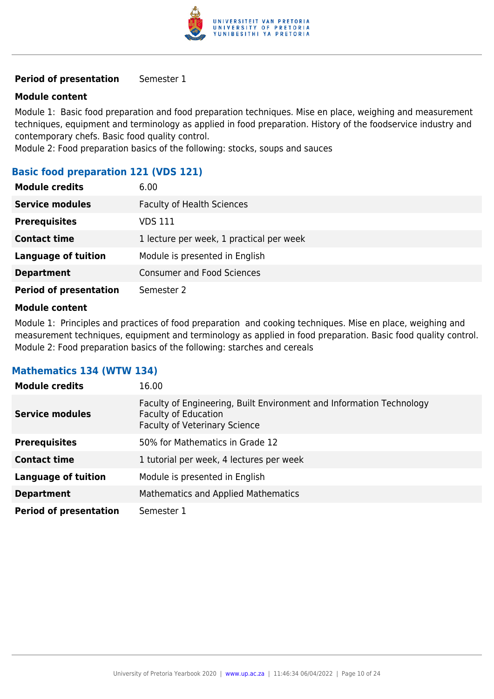

#### **Period of presentation** Semester 1

#### **Module content**

Module 1: Basic food preparation and food preparation techniques. Mise en place, weighing and measurement techniques, equipment and terminology as applied in food preparation. History of the foodservice industry and contemporary chefs. Basic food quality control.

Module 2: Food preparation basics of the following: stocks, soups and sauces

#### **Basic food preparation 121 (VDS 121)**

| <b>Module credits</b>         | 6.00                                     |
|-------------------------------|------------------------------------------|
| <b>Service modules</b>        | <b>Faculty of Health Sciences</b>        |
| <b>Prerequisites</b>          | VDS 111                                  |
| <b>Contact time</b>           | 1 lecture per week, 1 practical per week |
| <b>Language of tuition</b>    | Module is presented in English           |
| <b>Department</b>             | <b>Consumer and Food Sciences</b>        |
| <b>Period of presentation</b> | Semester 2                               |

#### **Module content**

Module 1: Principles and practices of food preparation and cooking techniques. Mise en place, weighing and measurement techniques, equipment and terminology as applied in food preparation. Basic food quality control. Module 2: Food preparation basics of the following: starches and cereals

#### **Mathematics 134 (WTW 134)**

| <b>Module credits</b>         | 16.00                                                                                                                                       |
|-------------------------------|---------------------------------------------------------------------------------------------------------------------------------------------|
| <b>Service modules</b>        | Faculty of Engineering, Built Environment and Information Technology<br><b>Faculty of Education</b><br><b>Faculty of Veterinary Science</b> |
| <b>Prerequisites</b>          | 50% for Mathematics in Grade 12                                                                                                             |
| <b>Contact time</b>           | 1 tutorial per week, 4 lectures per week                                                                                                    |
| <b>Language of tuition</b>    | Module is presented in English                                                                                                              |
| <b>Department</b>             | Mathematics and Applied Mathematics                                                                                                         |
| <b>Period of presentation</b> | Semester 1                                                                                                                                  |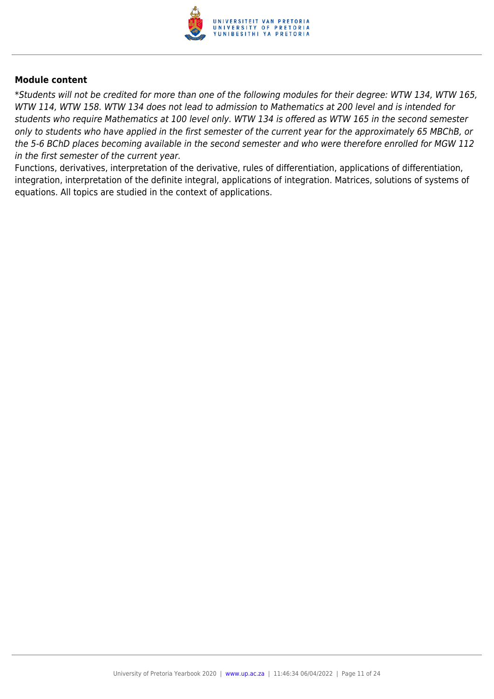

\*Students will not be credited for more than one of the following modules for their degree: WTW 134, WTW 165, WTW 114, WTW 158. WTW 134 does not lead to admission to Mathematics at 200 level and is intended for students who require Mathematics at 100 level only. WTW 134 is offered as WTW 165 in the second semester only to students who have applied in the first semester of the current year for the approximately 65 MBChB, or the 5-6 BChD places becoming available in the second semester and who were therefore enrolled for MGW 112 in the first semester of the current year.

Functions, derivatives, interpretation of the derivative, rules of differentiation, applications of differentiation, integration, interpretation of the definite integral, applications of integration. Matrices, solutions of systems of equations. All topics are studied in the context of applications.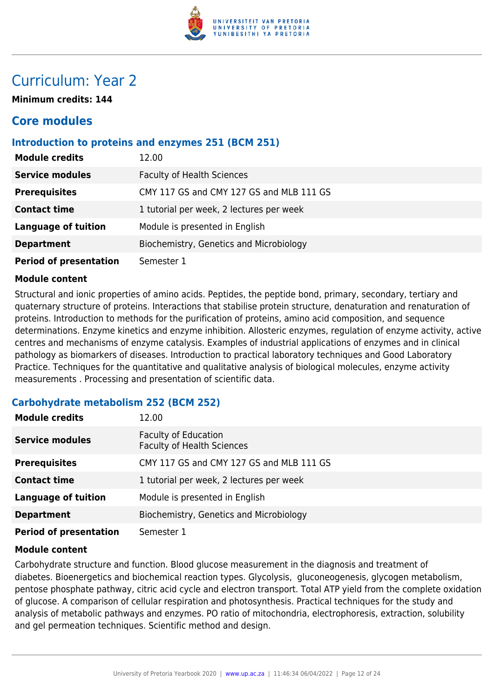

### Curriculum: Year 2

**Minimum credits: 144**

### **Core modules**

#### **Introduction to proteins and enzymes 251 (BCM 251)**

| <b>Module credits</b>         | 12.00                                    |
|-------------------------------|------------------------------------------|
| <b>Service modules</b>        | <b>Faculty of Health Sciences</b>        |
| <b>Prerequisites</b>          | CMY 117 GS and CMY 127 GS and MLB 111 GS |
| <b>Contact time</b>           | 1 tutorial per week, 2 lectures per week |
| <b>Language of tuition</b>    | Module is presented in English           |
| <b>Department</b>             | Biochemistry, Genetics and Microbiology  |
| <b>Period of presentation</b> | Semester 1                               |

#### **Module content**

Structural and ionic properties of amino acids. Peptides, the peptide bond, primary, secondary, tertiary and quaternary structure of proteins. Interactions that stabilise protein structure, denaturation and renaturation of proteins. Introduction to methods for the purification of proteins, amino acid composition, and sequence determinations. Enzyme kinetics and enzyme inhibition. Allosteric enzymes, regulation of enzyme activity, active centres and mechanisms of enzyme catalysis. Examples of industrial applications of enzymes and in clinical pathology as biomarkers of diseases. Introduction to practical laboratory techniques and Good Laboratory Practice. Techniques for the quantitative and qualitative analysis of biological molecules, enzyme activity measurements . Processing and presentation of scientific data.

#### **Carbohydrate metabolism 252 (BCM 252)**

| <b>Module credits</b>         | 12.00                                                            |
|-------------------------------|------------------------------------------------------------------|
| <b>Service modules</b>        | <b>Faculty of Education</b><br><b>Faculty of Health Sciences</b> |
| <b>Prerequisites</b>          | CMY 117 GS and CMY 127 GS and MLB 111 GS                         |
| <b>Contact time</b>           | 1 tutorial per week, 2 lectures per week                         |
| <b>Language of tuition</b>    | Module is presented in English                                   |
| <b>Department</b>             | Biochemistry, Genetics and Microbiology                          |
| <b>Period of presentation</b> | Semester 1                                                       |

#### **Module content**

Carbohydrate structure and function. Blood glucose measurement in the diagnosis and treatment of diabetes. Bioenergetics and biochemical reaction types. Glycolysis, gluconeogenesis, glycogen metabolism, pentose phosphate pathway, citric acid cycle and electron transport. Total ATP yield from the complete oxidation of glucose. A comparison of cellular respiration and photosynthesis. Practical techniques for the study and analysis of metabolic pathways and enzymes. PO ratio of mitochondria, electrophoresis, extraction, solubility and gel permeation techniques. Scientific method and design.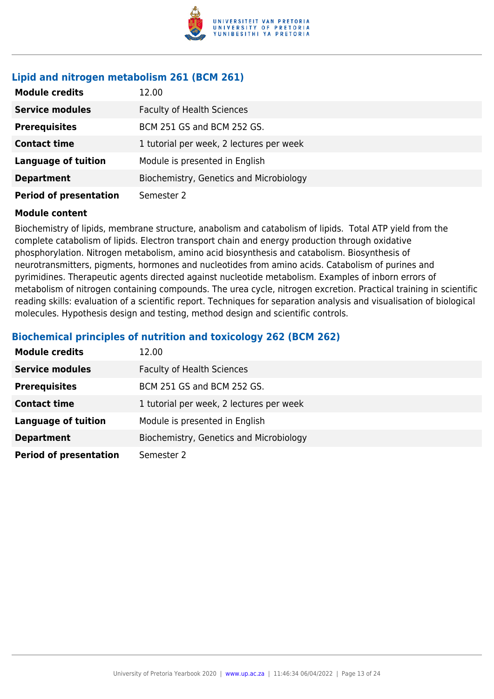

#### **Lipid and nitrogen metabolism 261 (BCM 261)**

| <b>Module credits</b>         | 12.00                                    |
|-------------------------------|------------------------------------------|
| <b>Service modules</b>        | <b>Faculty of Health Sciences</b>        |
| <b>Prerequisites</b>          | BCM 251 GS and BCM 252 GS.               |
| <b>Contact time</b>           | 1 tutorial per week, 2 lectures per week |
| <b>Language of tuition</b>    | Module is presented in English           |
| <b>Department</b>             | Biochemistry, Genetics and Microbiology  |
| <b>Period of presentation</b> | Semester 2                               |

#### **Module content**

Biochemistry of lipids, membrane structure, anabolism and catabolism of lipids. Total ATP yield from the complete catabolism of lipids. Electron transport chain and energy production through oxidative phosphorylation. Nitrogen metabolism, amino acid biosynthesis and catabolism. Biosynthesis of neurotransmitters, pigments, hormones and nucleotides from amino acids. Catabolism of purines and pyrimidines. Therapeutic agents directed against nucleotide metabolism. Examples of inborn errors of metabolism of nitrogen containing compounds. The urea cycle, nitrogen excretion. Practical training in scientific reading skills: evaluation of a scientific report. Techniques for separation analysis and visualisation of biological molecules. Hypothesis design and testing, method design and scientific controls.

#### **Biochemical principles of nutrition and toxicology 262 (BCM 262)**

| <b>Module credits</b>         | 12.00                                    |
|-------------------------------|------------------------------------------|
| <b>Service modules</b>        | <b>Faculty of Health Sciences</b>        |
| <b>Prerequisites</b>          | BCM 251 GS and BCM 252 GS.               |
| <b>Contact time</b>           | 1 tutorial per week, 2 lectures per week |
| <b>Language of tuition</b>    | Module is presented in English           |
| <b>Department</b>             | Biochemistry, Genetics and Microbiology  |
| <b>Period of presentation</b> | Semester 2                               |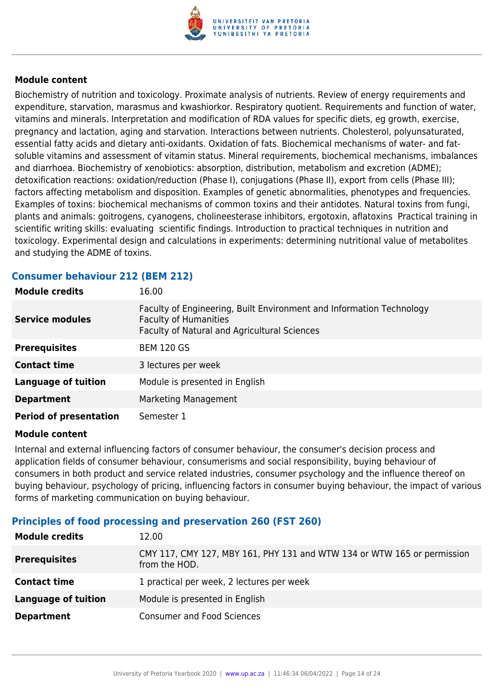

Biochemistry of nutrition and toxicology. Proximate analysis of nutrients. Review of energy requirements and expenditure, starvation, marasmus and kwashiorkor. Respiratory quotient. Requirements and function of water, vitamins and minerals. Interpretation and modification of RDA values for specific diets, eg growth, exercise, pregnancy and lactation, aging and starvation. Interactions between nutrients. Cholesterol, polyunsaturated, essential fatty acids and dietary anti-oxidants. Oxidation of fats. Biochemical mechanisms of water- and fatsoluble vitamins and assessment of vitamin status. Mineral requirements, biochemical mechanisms, imbalances and diarrhoea. Biochemistry of xenobiotics: absorption, distribution, metabolism and excretion (ADME); detoxification reactions: oxidation/reduction (Phase I), conjugations (Phase II), export from cells (Phase III); factors affecting metabolism and disposition. Examples of genetic abnormalities, phenotypes and frequencies. Examples of toxins: biochemical mechanisms of common toxins and their antidotes. Natural toxins from fungi, plants and animals: goitrogens, cyanogens, cholineesterase inhibitors, ergotoxin, aflatoxins Practical training in scientific writing skills: evaluating scientific findings. Introduction to practical techniques in nutrition and toxicology. Experimental design and calculations in experiments: determining nutritional value of metabolites and studying the ADME of toxins.

#### **Consumer behaviour 212 (BEM 212)**

| <b>Module credits</b>         | 16.00                                                                                                                                                       |
|-------------------------------|-------------------------------------------------------------------------------------------------------------------------------------------------------------|
| <b>Service modules</b>        | Faculty of Engineering, Built Environment and Information Technology<br><b>Faculty of Humanities</b><br><b>Faculty of Natural and Agricultural Sciences</b> |
| <b>Prerequisites</b>          | <b>BEM 120 GS</b>                                                                                                                                           |
| <b>Contact time</b>           | 3 lectures per week                                                                                                                                         |
| <b>Language of tuition</b>    | Module is presented in English                                                                                                                              |
| <b>Department</b>             | Marketing Management                                                                                                                                        |
| <b>Period of presentation</b> | Semester 1                                                                                                                                                  |

#### **Module content**

Internal and external influencing factors of consumer behaviour, the consumer's decision process and application fields of consumer behaviour, consumerisms and social responsibility, buying behaviour of consumers in both product and service related industries, consumer psychology and the influence thereof on buying behaviour, psychology of pricing, influencing factors in consumer buying behaviour, the impact of various forms of marketing communication on buying behaviour.

#### **Principles of food processing and preservation 260 (FST 260)**

| <b>Module credits</b>      | 12.00                                                                                    |
|----------------------------|------------------------------------------------------------------------------------------|
| <b>Prerequisites</b>       | CMY 117, CMY 127, MBY 161, PHY 131 and WTW 134 or WTW 165 or permission<br>from the HOD. |
| <b>Contact time</b>        | 1 practical per week, 2 lectures per week                                                |
| <b>Language of tuition</b> | Module is presented in English                                                           |
| <b>Department</b>          | <b>Consumer and Food Sciences</b>                                                        |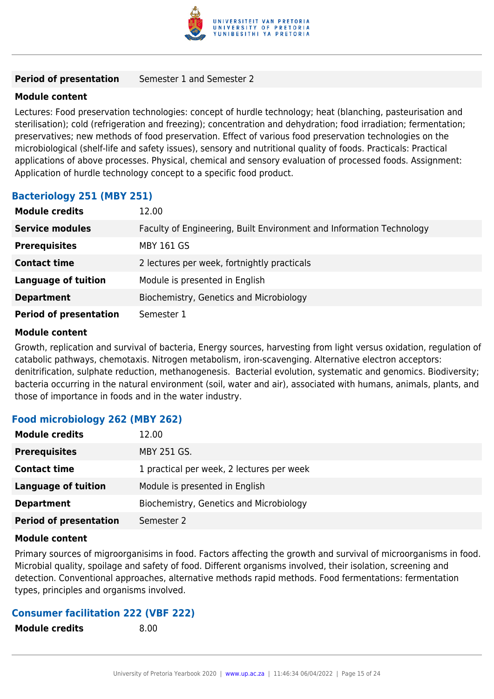

#### **Period of presentation** Semester 1 and Semester 2

#### **Module content**

Lectures: Food preservation technologies: concept of hurdle technology; heat (blanching, pasteurisation and sterilisation); cold (refrigeration and freezing); concentration and dehydration; food irradiation; fermentation; preservatives; new methods of food preservation. Effect of various food preservation technologies on the microbiological (shelf-life and safety issues), sensory and nutritional quality of foods. Practicals: Practical applications of above processes. Physical, chemical and sensory evaluation of processed foods. Assignment: Application of hurdle technology concept to a specific food product.

#### **Bacteriology 251 (MBY 251)**

| <b>Module credits</b>         | 12.00                                                                |
|-------------------------------|----------------------------------------------------------------------|
| <b>Service modules</b>        | Faculty of Engineering, Built Environment and Information Technology |
| <b>Prerequisites</b>          | <b>MBY 161 GS</b>                                                    |
| <b>Contact time</b>           | 2 lectures per week, fortnightly practicals                          |
| <b>Language of tuition</b>    | Module is presented in English                                       |
| <b>Department</b>             | Biochemistry, Genetics and Microbiology                              |
| <b>Period of presentation</b> | Semester 1                                                           |

#### **Module content**

Growth, replication and survival of bacteria, Energy sources, harvesting from light versus oxidation, regulation of catabolic pathways, chemotaxis. Nitrogen metabolism, iron-scavenging. Alternative electron acceptors: denitrification, sulphate reduction, methanogenesis. Bacterial evolution, systematic and genomics. Biodiversity; bacteria occurring in the natural environment (soil, water and air), associated with humans, animals, plants, and those of importance in foods and in the water industry.

#### **Food microbiology 262 (MBY 262)**

| <b>Module credits</b>         | 12.00                                     |
|-------------------------------|-------------------------------------------|
| <b>Prerequisites</b>          | <b>MBY 251 GS.</b>                        |
| <b>Contact time</b>           | 1 practical per week, 2 lectures per week |
| <b>Language of tuition</b>    | Module is presented in English            |
| <b>Department</b>             | Biochemistry, Genetics and Microbiology   |
| <b>Period of presentation</b> | Semester 2                                |

#### **Module content**

Primary sources of migroorganisims in food. Factors affecting the growth and survival of microorganisms in food. Microbial quality, spoilage and safety of food. Different organisms involved, their isolation, screening and detection. Conventional approaches, alternative methods rapid methods. Food fermentations: fermentation types, principles and organisms involved.

#### **Consumer facilitation 222 (VBF 222)**

**Module credits** 8.00

University of Pretoria Yearbook 2020 | [www.up.ac.za](https://www.up.ac.za/yearbooks/home) | 11:46:34 06/04/2022 | Page 15 of 24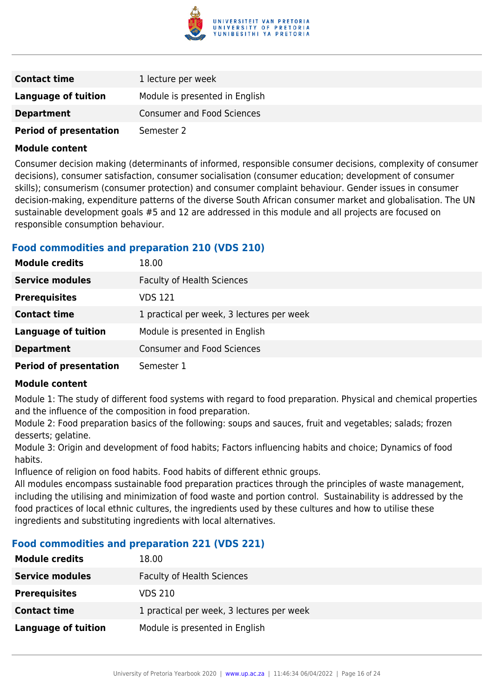

| <b>Contact time</b>           | 1 lecture per week                |
|-------------------------------|-----------------------------------|
| <b>Language of tuition</b>    | Module is presented in English    |
| <b>Department</b>             | <b>Consumer and Food Sciences</b> |
| <b>Period of presentation</b> | Semester 2                        |

Consumer decision making (determinants of informed, responsible consumer decisions, complexity of consumer decisions), consumer satisfaction, consumer socialisation (consumer education; development of consumer skills); consumerism (consumer protection) and consumer complaint behaviour. Gender issues in consumer decision-making, expenditure patterns of the diverse South African consumer market and globalisation. The UN sustainable development goals #5 and 12 are addressed in this module and all projects are focused on responsible consumption behaviour.

#### **Food commodities and preparation 210 (VDS 210)**

| <b>Module credits</b>         | 18.00                                     |
|-------------------------------|-------------------------------------------|
| <b>Service modules</b>        | <b>Faculty of Health Sciences</b>         |
| <b>Prerequisites</b>          | <b>VDS 121</b>                            |
| <b>Contact time</b>           | 1 practical per week, 3 lectures per week |
| <b>Language of tuition</b>    | Module is presented in English            |
| <b>Department</b>             | <b>Consumer and Food Sciences</b>         |
| <b>Period of presentation</b> | Semester 1                                |

#### **Module content**

Module 1: The study of different food systems with regard to food preparation. Physical and chemical properties and the influence of the composition in food preparation.

Module 2: Food preparation basics of the following: soups and sauces, fruit and vegetables; salads; frozen desserts; gelatine.

Module 3: Origin and development of food habits; Factors influencing habits and choice; Dynamics of food habits.

Influence of religion on food habits. Food habits of different ethnic groups.

All modules encompass sustainable food preparation practices through the principles of waste management, including the utilising and minimization of food waste and portion control. Sustainability is addressed by the food practices of local ethnic cultures, the ingredients used by these cultures and how to utilise these ingredients and substituting ingredients with local alternatives.

#### **Food commodities and preparation 221 (VDS 221)**

| <b>Module credits</b>  | 18.00                                     |
|------------------------|-------------------------------------------|
| <b>Service modules</b> | <b>Faculty of Health Sciences</b>         |
| <b>Prerequisites</b>   | VDS 210                                   |
| <b>Contact time</b>    | 1 practical per week, 3 lectures per week |
| Language of tuition    | Module is presented in English            |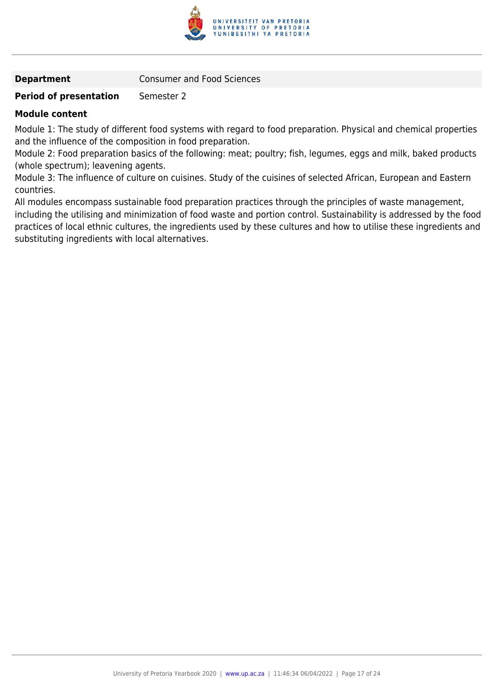

**Department Consumer and Food Sciences** 

#### **Period of presentation** Semester 2

#### **Module content**

Module 1: The study of different food systems with regard to food preparation. Physical and chemical properties and the influence of the composition in food preparation.

Module 2: Food preparation basics of the following: meat; poultry; fish, legumes, eggs and milk, baked products (whole spectrum); leavening agents.

Module 3: The influence of culture on cuisines. Study of the cuisines of selected African, European and Eastern countries.

All modules encompass sustainable food preparation practices through the principles of waste management, including the utilising and minimization of food waste and portion control. Sustainability is addressed by the food practices of local ethnic cultures, the ingredients used by these cultures and how to utilise these ingredients and substituting ingredients with local alternatives.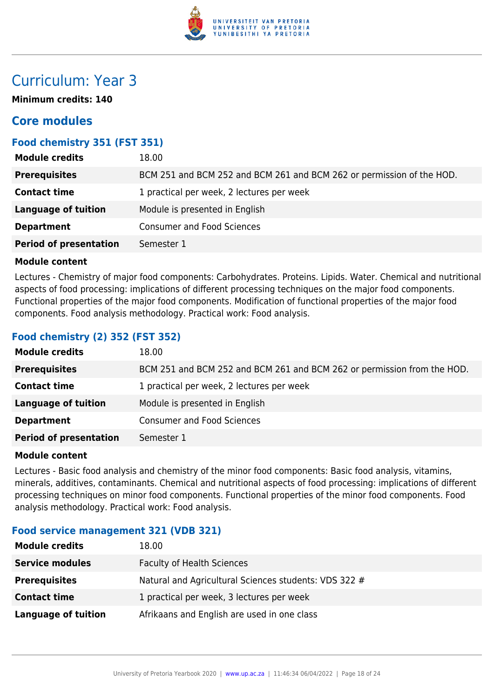

### Curriculum: Year 3

**Minimum credits: 140**

#### **Core modules**

#### **Food chemistry 351 (FST 351)**

| <b>Module credits</b>         | 18.00                                                                 |
|-------------------------------|-----------------------------------------------------------------------|
| <b>Prerequisites</b>          | BCM 251 and BCM 252 and BCM 261 and BCM 262 or permission of the HOD. |
| <b>Contact time</b>           | 1 practical per week, 2 lectures per week                             |
| <b>Language of tuition</b>    | Module is presented in English                                        |
| <b>Department</b>             | <b>Consumer and Food Sciences</b>                                     |
| <b>Period of presentation</b> | Semester 1                                                            |

#### **Module content**

Lectures - Chemistry of major food components: Carbohydrates. Proteins. Lipids. Water. Chemical and nutritional aspects of food processing: implications of different processing techniques on the major food components. Functional properties of the major food components. Modification of functional properties of the major food components. Food analysis methodology. Practical work: Food analysis.

#### **Food chemistry (2) 352 (FST 352)**

| <b>Module credits</b>         | 18.00                                                                   |
|-------------------------------|-------------------------------------------------------------------------|
| <b>Prerequisites</b>          | BCM 251 and BCM 252 and BCM 261 and BCM 262 or permission from the HOD. |
| <b>Contact time</b>           | 1 practical per week, 2 lectures per week                               |
| <b>Language of tuition</b>    | Module is presented in English                                          |
| <b>Department</b>             | <b>Consumer and Food Sciences</b>                                       |
| <b>Period of presentation</b> | Semester 1                                                              |

#### **Module content**

Lectures - Basic food analysis and chemistry of the minor food components: Basic food analysis, vitamins, minerals, additives, contaminants. Chemical and nutritional aspects of food processing: implications of different processing techniques on minor food components. Functional properties of the minor food components. Food analysis methodology. Practical work: Food analysis.

#### **Food service management 321 (VDB 321)**

| <b>Module credits</b>  | 18.00                                                 |
|------------------------|-------------------------------------------------------|
| <b>Service modules</b> | <b>Faculty of Health Sciences</b>                     |
| <b>Prerequisites</b>   | Natural and Agricultural Sciences students: VDS 322 # |
| <b>Contact time</b>    | 1 practical per week, 3 lectures per week             |
| Language of tuition    | Afrikaans and English are used in one class           |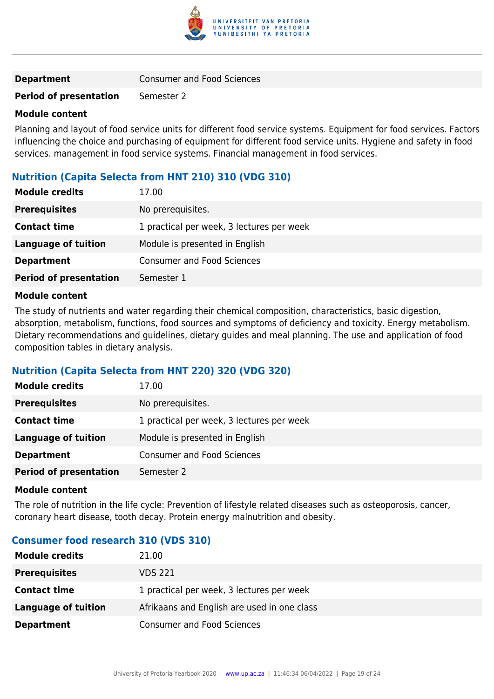

#### **Department Consumer and Food Sciences**

#### **Period of presentation** Semester 2

#### **Module content**

Planning and layout of food service units for different food service systems. Equipment for food services. Factors influencing the choice and purchasing of equipment for different food service units. Hygiene and safety in food services. management in food service systems. Financial management in food services.

#### **Nutrition (Capita Selecta from HNT 210) 310 (VDG 310)**

| <b>Module credits</b>         | 17.00                                     |
|-------------------------------|-------------------------------------------|
| <b>Prerequisites</b>          | No prerequisites.                         |
| <b>Contact time</b>           | 1 practical per week, 3 lectures per week |
| <b>Language of tuition</b>    | Module is presented in English            |
| <b>Department</b>             | <b>Consumer and Food Sciences</b>         |
| <b>Period of presentation</b> | Semester 1                                |

#### **Module content**

The study of nutrients and water regarding their chemical composition, characteristics, basic digestion, absorption, metabolism, functions, food sources and symptoms of deficiency and toxicity. Energy metabolism. Dietary recommendations and guidelines, dietary guides and meal planning. The use and application of food composition tables in dietary analysis.

#### **Nutrition (Capita Selecta from HNT 220) 320 (VDG 320)**

| <b>Module credits</b>         | 17.00                                     |
|-------------------------------|-------------------------------------------|
| <b>Prerequisites</b>          | No prerequisites.                         |
| <b>Contact time</b>           | 1 practical per week, 3 lectures per week |
| <b>Language of tuition</b>    | Module is presented in English            |
| <b>Department</b>             | <b>Consumer and Food Sciences</b>         |
| <b>Period of presentation</b> | Semester 2                                |

#### **Module content**

The role of nutrition in the life cycle: Prevention of lifestyle related diseases such as osteoporosis, cancer, coronary heart disease, tooth decay. Protein energy malnutrition and obesity.

#### **Consumer food research 310 (VDS 310)**

| <b>Module credits</b> | 21.00                                       |
|-----------------------|---------------------------------------------|
| <b>Prerequisites</b>  | VDS 221                                     |
| <b>Contact time</b>   | 1 practical per week, 3 lectures per week   |
| Language of tuition   | Afrikaans and English are used in one class |
| <b>Department</b>     | <b>Consumer and Food Sciences</b>           |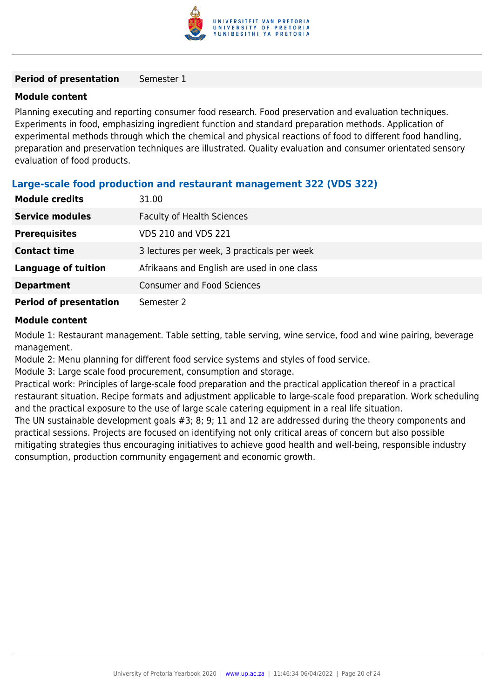

#### **Period of presentation** Semester 1

#### **Module content**

Planning executing and reporting consumer food research. Food preservation and evaluation techniques. Experiments in food, emphasizing ingredient function and standard preparation methods. Application of experimental methods through which the chemical and physical reactions of food to different food handling, preparation and preservation techniques are illustrated. Quality evaluation and consumer orientated sensory evaluation of food products.

#### **Large-scale food production and restaurant management 322 (VDS 322)**

| <b>Module credits</b>         | 31.00                                       |
|-------------------------------|---------------------------------------------|
| <b>Service modules</b>        | <b>Faculty of Health Sciences</b>           |
| <b>Prerequisites</b>          | <b>VDS 210 and VDS 221</b>                  |
| <b>Contact time</b>           | 3 lectures per week, 3 practicals per week  |
| <b>Language of tuition</b>    | Afrikaans and English are used in one class |
| <b>Department</b>             | <b>Consumer and Food Sciences</b>           |
| <b>Period of presentation</b> | Semester 2                                  |

#### **Module content**

Module 1: Restaurant management. Table setting, table serving, wine service, food and wine pairing, beverage management.

Module 2: Menu planning for different food service systems and styles of food service.

Module 3: Large scale food procurement, consumption and storage.

Practical work: Principles of large-scale food preparation and the practical application thereof in a practical restaurant situation. Recipe formats and adjustment applicable to large-scale food preparation. Work scheduling and the practical exposure to the use of large scale catering equipment in a real life situation.

The UN sustainable development goals #3; 8; 9; 11 and 12 are addressed during the theory components and practical sessions. Projects are focused on identifying not only critical areas of concern but also possible mitigating strategies thus encouraging initiatives to achieve good health and well-being, responsible industry consumption, production community engagement and economic growth.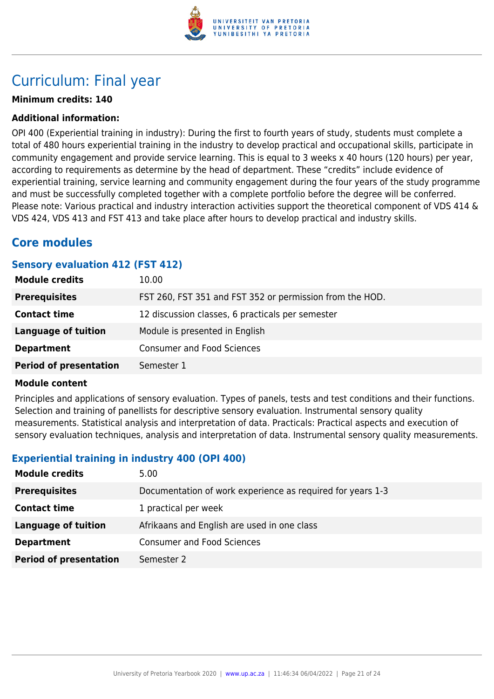

### Curriculum: Final year

#### **Minimum credits: 140**

#### **Additional information:**

OPI 400 (Experiential training in industry): During the first to fourth years of study, students must complete a total of 480 hours experiential training in the industry to develop practical and occupational skills, participate in community engagement and provide service learning. This is equal to 3 weeks x 40 hours (120 hours) per year, according to requirements as determine by the head of department. These "credits" include evidence of experiential training, service learning and community engagement during the four years of the study programme and must be successfully completed together with a complete portfolio before the degree will be conferred. Please note: Various practical and industry interaction activities support the theoretical component of VDS 414 & VDS 424, VDS 413 and FST 413 and take place after hours to develop practical and industry skills.

### **Core modules**

#### **Sensory evaluation 412 (FST 412)**

| <b>Module credits</b>         | 10.00                                                    |
|-------------------------------|----------------------------------------------------------|
| <b>Prerequisites</b>          | FST 260, FST 351 and FST 352 or permission from the HOD. |
| <b>Contact time</b>           | 12 discussion classes, 6 practicals per semester         |
| <b>Language of tuition</b>    | Module is presented in English                           |
| <b>Department</b>             | <b>Consumer and Food Sciences</b>                        |
| <b>Period of presentation</b> | Semester 1                                               |

#### **Module content**

Principles and applications of sensory evaluation. Types of panels, tests and test conditions and their functions. Selection and training of panellists for descriptive sensory evaluation. Instrumental sensory quality measurements. Statistical analysis and interpretation of data. Practicals: Practical aspects and execution of sensory evaluation techniques, analysis and interpretation of data. Instrumental sensory quality measurements.

#### **Experiential training in industry 400 (OPI 400)**

| <b>Module credits</b>         | 5.00                                                       |
|-------------------------------|------------------------------------------------------------|
| <b>Prerequisites</b>          | Documentation of work experience as required for years 1-3 |
| <b>Contact time</b>           | 1 practical per week                                       |
| Language of tuition           | Afrikaans and English are used in one class                |
| <b>Department</b>             | <b>Consumer and Food Sciences</b>                          |
| <b>Period of presentation</b> | Semester 2                                                 |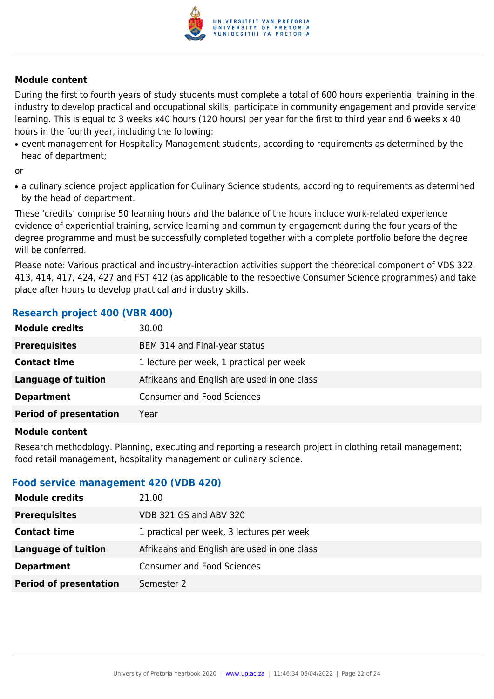

During the first to fourth years of study students must complete a total of 600 hours experiential training in the industry to develop practical and occupational skills, participate in community engagement and provide service learning. This is equal to 3 weeks x40 hours (120 hours) per year for the first to third year and 6 weeks x 40 hours in the fourth year, including the following:

• event management for Hospitality Management students, according to requirements as determined by the head of department;

or

• a culinary science project application for Culinary Science students, according to requirements as determined by the head of department.

These 'credits' comprise 50 learning hours and the balance of the hours include work-related experience evidence of experiential training, service learning and community engagement during the four years of the degree programme and must be successfully completed together with a complete portfolio before the degree will be conferred.

Please note: Various practical and industry-interaction activities support the theoretical component of VDS 322, 413, 414, 417, 424, 427 and FST 412 (as applicable to the respective Consumer Science programmes) and take place after hours to develop practical and industry skills.

#### **Research project 400 (VBR 400)**

| 30.00                                       |
|---------------------------------------------|
| BEM 314 and Final-year status               |
| 1 lecture per week, 1 practical per week    |
| Afrikaans and English are used in one class |
| <b>Consumer and Food Sciences</b>           |
| Year                                        |
|                                             |

#### **Module content**

Research methodology. Planning, executing and reporting a research project in clothing retail management; food retail management, hospitality management or culinary science.

#### **Food service management 420 (VDB 420)**

| <b>Module credits</b>         | 21.00                                       |
|-------------------------------|---------------------------------------------|
| <b>Prerequisites</b>          | VDB 321 GS and ABV 320                      |
| <b>Contact time</b>           | 1 practical per week, 3 lectures per week   |
| <b>Language of tuition</b>    | Afrikaans and English are used in one class |
| <b>Department</b>             | <b>Consumer and Food Sciences</b>           |
| <b>Period of presentation</b> | Semester 2                                  |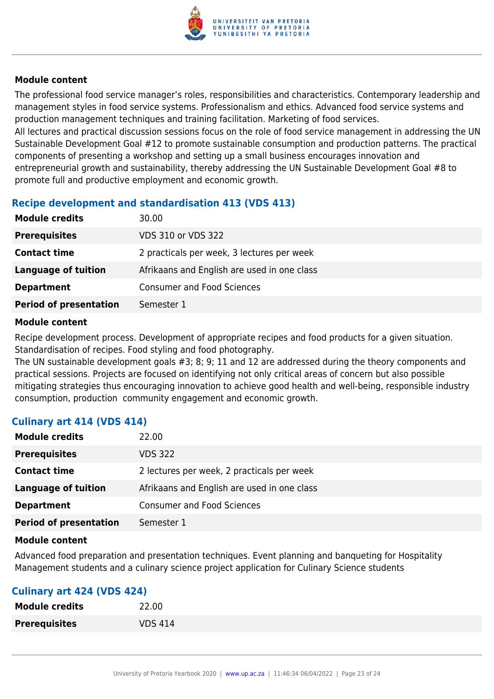

The professional food service manager's roles, responsibilities and characteristics. Contemporary leadership and management styles in food service systems. Professionalism and ethics. Advanced food service systems and production management techniques and training facilitation. Marketing of food services.

All lectures and practical discussion sessions focus on the role of food service management in addressing the UN Sustainable Development Goal #12 to promote sustainable consumption and production patterns. The practical components of presenting a workshop and setting up a small business encourages innovation and entrepreneurial growth and sustainability, thereby addressing the UN Sustainable Development Goal #8 to promote full and productive employment and economic growth.

#### **Recipe development and standardisation 413 (VDS 413)**

| <b>Module credits</b>         | 30.00                                       |
|-------------------------------|---------------------------------------------|
| <b>Prerequisites</b>          | VDS 310 or VDS 322                          |
| <b>Contact time</b>           | 2 practicals per week, 3 lectures per week  |
| <b>Language of tuition</b>    | Afrikaans and English are used in one class |
| <b>Department</b>             | <b>Consumer and Food Sciences</b>           |
| <b>Period of presentation</b> | Semester 1                                  |

#### **Module content**

Recipe development process. Development of appropriate recipes and food products for a given situation. Standardisation of recipes. Food styling and food photography.

The UN sustainable development goals #3; 8; 9; 11 and 12 are addressed during the theory components and practical sessions. Projects are focused on identifying not only critical areas of concern but also possible mitigating strategies thus encouraging innovation to achieve good health and well-being, responsible industry consumption, production community engagement and economic growth.

#### **Culinary art 414 (VDS 414)**

| <b>Module credits</b>         | 22.00                                       |
|-------------------------------|---------------------------------------------|
| <b>Prerequisites</b>          | <b>VDS 322</b>                              |
| <b>Contact time</b>           | 2 lectures per week, 2 practicals per week  |
| Language of tuition           | Afrikaans and English are used in one class |
| <b>Department</b>             | <b>Consumer and Food Sciences</b>           |
| <b>Period of presentation</b> | Semester 1                                  |

#### **Module content**

Advanced food preparation and presentation techniques. Event planning and banqueting for Hospitality Management students and a culinary science project application for Culinary Science students

#### **Culinary art 424 (VDS 424)**

| <b>Module credits</b> | 22.00          |
|-----------------------|----------------|
| <b>Prerequisites</b>  | <b>VDS 414</b> |